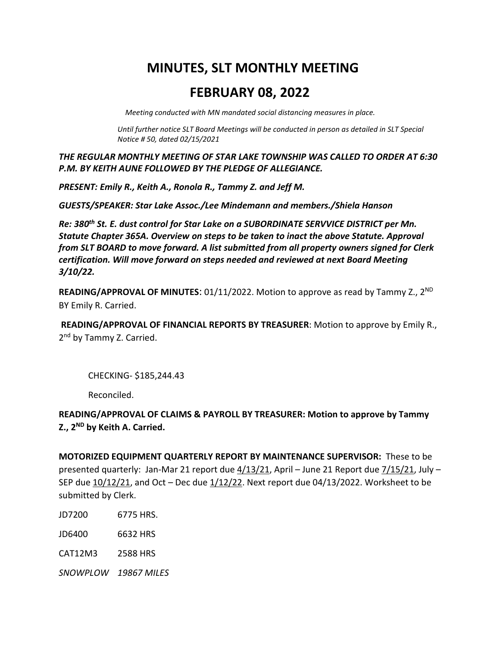# **MINUTES, SLT MONTHLY MEETING**

# **FEBRUARY 08, 2022**

 *Meeting conducted with MN mandated social distancing measures in place.* 

*Until further notice SLT Board Meetings will be conducted in person as detailed in SLT Special Notice # 50, dated 02/15/2021*

*THE REGULAR MONTHLY MEETING OF STAR LAKE TOWNSHIP WAS CALLED TO ORDER AT 6:30 P.M. BY KEITH AUNE FOLLOWED BY THE PLEDGE OF ALLEGIANCE.*

*PRESENT: Emily R., Keith A., Ronola R., Tammy Z. and Jeff M.*

*GUESTS/SPEAKER: Star Lake Assoc./Lee Mindemann and members./Shiela Hanson*

*Re: 380th St. E. dust control for Star Lake on a SUBORDINATE SERVVICE DISTRICT per Mn. Statute Chapter 365A. Overview on steps to be taken to inact the above Statute. Approval from SLT BOARD to move forward. A list submitted from all property owners signed for Clerk certification. Will move forward on steps needed and reviewed at next Board Meeting 3/10/22.*

**READING/APPROVAL OF MINUTES:** 01/11/2022. Motion to approve as read by Tammy Z., 2<sup>ND</sup> BY Emily R. Carried.

**READING/APPROVAL OF FINANCIAL REPORTS BY TREASURER**: Motion to approve by Emily R., 2<sup>nd</sup> by Tammy Z. Carried.

CHECKING- \$185,244.43

Reconciled.

**READING/APPROVAL OF CLAIMS & PAYROLL BY TREASURER: Motion to approve by Tammy Z., 2ND by Keith A. Carried.**

**MOTORIZED EQUIPMENT QUARTERLY REPORT BY MAINTENANCE SUPERVISOR:** These to be presented quarterly: Jan-Mar 21 report due 4/13/21, April – June 21 Report due 7/15/21, July – SEP due 10/12/21, and Oct – Dec due 1/12/22. Next report due 04/13/2022. Worksheet to be submitted by Clerk.

JD7200 6775 HRS.

JD6400 6632 HRS

CAT12M3 2588 HRS

*SNOWPLOW 19867 MILES*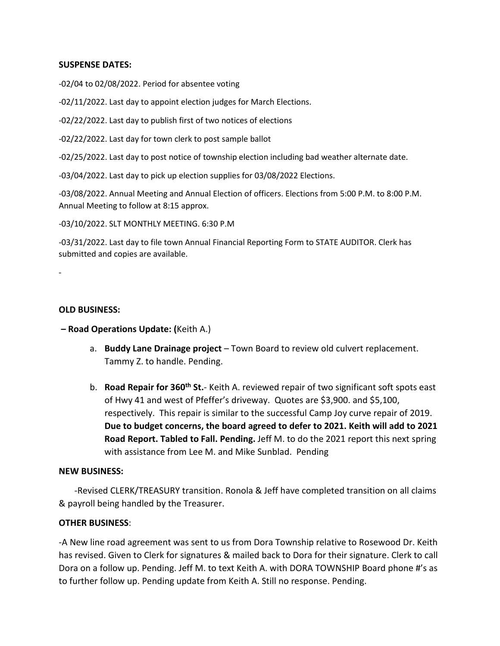## **SUSPENSE DATES:**

-02/04 to 02/08/2022. Period for absentee voting

-02/11/2022. Last day to appoint election judges for March Elections.

-02/22/2022. Last day to publish first of two notices of elections

-02/22/2022. Last day for town clerk to post sample ballot

-02/25/2022. Last day to post notice of township election including bad weather alternate date.

-03/04/2022. Last day to pick up election supplies for 03/08/2022 Elections.

-03/08/2022. Annual Meeting and Annual Election of officers. Elections from 5:00 P.M. to 8:00 P.M. Annual Meeting to follow at 8:15 approx.

-03/10/2022. SLT MONTHLY MEETING. 6:30 P.M

-03/31/2022. Last day to file town Annual Financial Reporting Form to STATE AUDITOR. Clerk has submitted and copies are available.

-

#### **OLD BUSINESS:**

**– Road Operations Update: (**Keith A.)

- a. **Buddy Lane Drainage project** Town Board to review old culvert replacement. Tammy Z. to handle. Pending.
- b. **Road Repair for 360th St.** Keith A. reviewed repair of two significant soft spots east of Hwy 41 and west of Pfeffer's driveway. Quotes are \$3,900. and \$5,100, respectively. This repair is similar to the successful Camp Joy curve repair of 2019. **Due to budget concerns, the board agreed to defer to 2021. Keith will add to 2021 Road Report. Tabled to Fall. Pending.** Jeff M. to do the 2021 report this next spring with assistance from Lee M. and Mike Sunblad. Pending

### **NEW BUSINESS:**

 -Revised CLERK/TREASURY transition. Ronola & Jeff have completed transition on all claims & payroll being handled by the Treasurer.

### **OTHER BUSINESS**:

-A New line road agreement was sent to us from Dora Township relative to Rosewood Dr. Keith has revised. Given to Clerk for signatures & mailed back to Dora for their signature. Clerk to call Dora on a follow up. Pending. Jeff M. to text Keith A. with DORA TOWNSHIP Board phone #'s as to further follow up. Pending update from Keith A. Still no response. Pending.